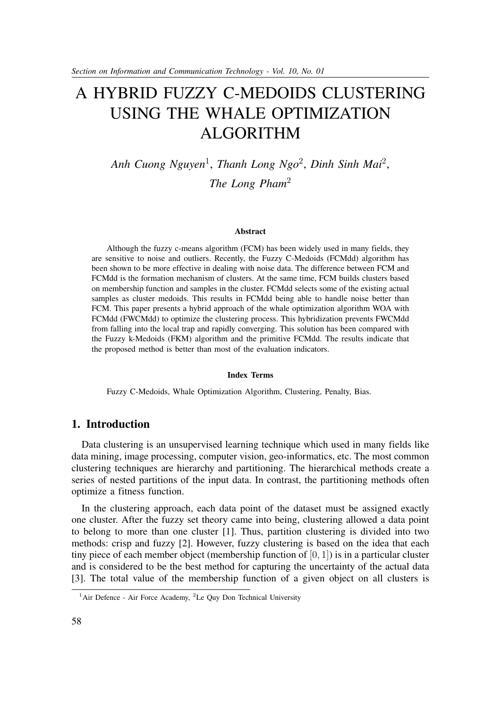# A HYBRID FUZZY C-MEDOIDS CLUSTERING USING THE WHALE OPTIMIZATION ALGORITHM

*Anh Cuong Nguyen*<sup>1</sup> , *Thanh Long Ngo*<sup>2</sup> , *Dinh Sinh Mai*<sup>2</sup> , *The Long Pham*<sup>2</sup>

#### **Abstract**

Although the fuzzy c-means algorithm (FCM) has been widely used in many fields, they are sensitive to noise and outliers. Recently, the Fuzzy C-Medoids (FCMdd) algorithm has been shown to be more effective in dealing with noise data. The difference between FCM and FCMdd is the formation mechanism of clusters. At the same time, FCM builds clusters based on membership function and samples in the cluster. FCMdd selects some of the existing actual samples as cluster medoids. This results in FCMdd being able to handle noise better than FCM. This paper presents a hybrid approach of the whale optimization algorithm WOA with FCMdd (FWCMdd) to optimize the clustering process. This hybridization prevents FWCMdd from falling into the local trap and rapidly converging. This solution has been compared with the Fuzzy k-Medoids (FKM) algorithm and the primitive FCMdd. The results indicate that the proposed method is better than most of the evaluation indicators.

#### **Index Terms**

Fuzzy C-Medoids, Whale Optimization Algorithm, Clustering, Penalty, Bias.

## **1. Introduction**

Data clustering is an unsupervised learning technique which used in many fields like data mining, image processing, computer vision, geo-informatics, etc. The most common clustering techniques are hierarchy and partitioning. The hierarchical methods create a series of nested partitions of the input data. In contrast, the partitioning methods often optimize a fitness function.

In the clustering approach, each data point of the dataset must be assigned exactly one cluster. After the fuzzy set theory came into being, clustering allowed a data point to belong to more than one cluster [1]. Thus, partition clustering is divided into two methods: crisp and fuzzy [2]. However, fuzzy clustering is based on the idea that each tiny piece of each member object (membership function of  $[0, 1]$ ) is in a particular cluster and is considered to be the best method for capturing the uncertainty of the actual data [3]. The total value of the membership function of a given object on all clusters is

<sup>&</sup>lt;sup>1</sup>Air Defence - Air Force Academy, <sup>2</sup>Le Quy Don Technical University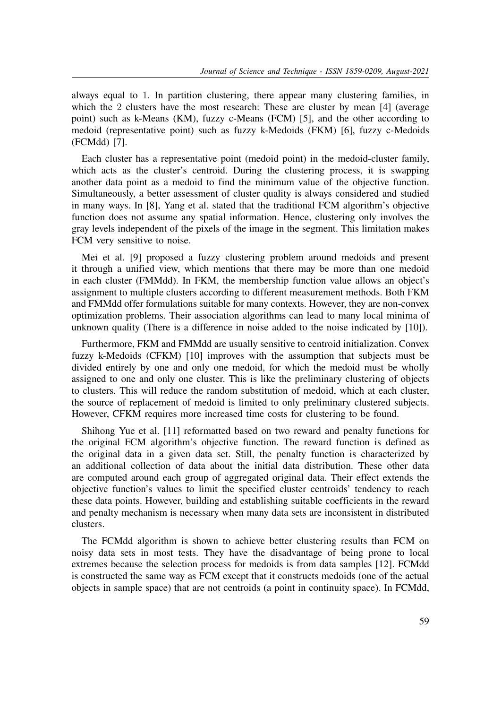always equal to 1. In partition clustering, there appear many clustering families, in which the 2 clusters have the most research: These are cluster by mean [4] (average point) such as k-Means (KM), fuzzy c-Means (FCM) [5], and the other according to medoid (representative point) such as fuzzy k-Medoids (FKM) [6], fuzzy c-Medoids (FCMdd) [7].

Each cluster has a representative point (medoid point) in the medoid-cluster family, which acts as the cluster's centroid. During the clustering process, it is swapping another data point as a medoid to find the minimum value of the objective function. Simultaneously, a better assessment of cluster quality is always considered and studied in many ways. In [8], Yang et al. stated that the traditional FCM algorithm's objective function does not assume any spatial information. Hence, clustering only involves the gray levels independent of the pixels of the image in the segment. This limitation makes FCM very sensitive to noise.

Mei et al. [9] proposed a fuzzy clustering problem around medoids and present it through a unified view, which mentions that there may be more than one medoid in each cluster (FMMdd). In FKM, the membership function value allows an object's assignment to multiple clusters according to different measurement methods. Both FKM and FMMdd offer formulations suitable for many contexts. However, they are non-convex optimization problems. Their association algorithms can lead to many local minima of unknown quality (There is a difference in noise added to the noise indicated by [10]).

Furthermore, FKM and FMMdd are usually sensitive to centroid initialization. Convex fuzzy k-Medoids (CFKM) [10] improves with the assumption that subjects must be divided entirely by one and only one medoid, for which the medoid must be wholly assigned to one and only one cluster. This is like the preliminary clustering of objects to clusters. This will reduce the random substitution of medoid, which at each cluster, the source of replacement of medoid is limited to only preliminary clustered subjects. However, CFKM requires more increased time costs for clustering to be found.

Shihong Yue et al. [11] reformatted based on two reward and penalty functions for the original FCM algorithm's objective function. The reward function is defined as the original data in a given data set. Still, the penalty function is characterized by an additional collection of data about the initial data distribution. These other data are computed around each group of aggregated original data. Their effect extends the objective function's values to limit the specified cluster centroids' tendency to reach these data points. However, building and establishing suitable coefficients in the reward and penalty mechanism is necessary when many data sets are inconsistent in distributed clusters.

The FCMdd algorithm is shown to achieve better clustering results than FCM on noisy data sets in most tests. They have the disadvantage of being prone to local extremes because the selection process for medoids is from data samples [12]. FCMdd is constructed the same way as FCM except that it constructs medoids (one of the actual objects in sample space) that are not centroids (a point in continuity space). In FCMdd,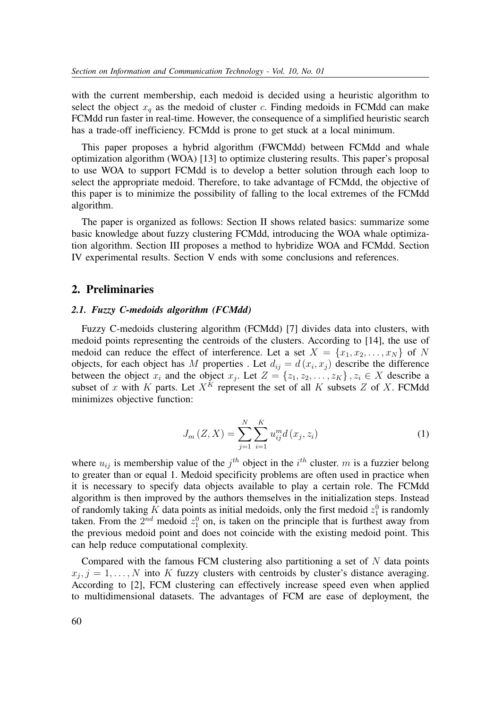with the current membership, each medoid is decided using a heuristic algorithm to select the object  $x_a$  as the medoid of cluster c. Finding medoids in FCMdd can make FCMdd run faster in real-time. However, the consequence of a simplified heuristic search has a trade-off inefficiency. FCMdd is prone to get stuck at a local minimum.

This paper proposes a hybrid algorithm (FWCMdd) between FCMdd and whale optimization algorithm (WOA) [13] to optimize clustering results. This paper's proposal to use WOA to support FCMdd is to develop a better solution through each loop to select the appropriate medoid. Therefore, to take advantage of FCMdd, the objective of this paper is to minimize the possibility of falling to the local extremes of the FCMdd algorithm.

The paper is organized as follows: Section II shows related basics: summarize some basic knowledge about fuzzy clustering FCMdd, introducing the WOA whale optimization algorithm. Section III proposes a method to hybridize WOA and FCMdd. Section IV experimental results. Section V ends with some conclusions and references.

#### **2. Preliminaries**

#### *2.1. Fuzzy C-medoids algorithm (FCMdd)*

Fuzzy C-medoids clustering algorithm (FCMdd) [7] divides data into clusters, with medoid points representing the centroids of the clusters. According to [14], the use of medoid can reduce the effect of interference. Let a set  $X = \{x_1, x_2, \ldots, x_N\}$  of N objects, for each object has M properties. Let  $d_{ij} = d(x_i, x_j)$  describe the difference between the object  $x_i$  and the object  $x_j$ . Let  $Z = \{z_1, z_2, \ldots, z_K\}$ ,  $z_i \in X$  describe a subset of x with K parts. Let  $X^K$  represent the set of all K subsets Z of X. FCMdd minimizes objective function:

$$
J_{m}(Z, X) = \sum_{j=1}^{N} \sum_{i=1}^{K} u_{ij}^{m} d(x_{j}, z_{i})
$$
\n(1)

where  $u_{ij}$  is membership value of the  $j^{th}$  object in the  $i^{th}$  cluster. m is a fuzzier belong to greater than or equal 1. Medoid specificity problems are often used in practice when it is necessary to specify data objects available to play a certain role. The FCMdd algorithm is then improved by the authors themselves in the initialization steps. Instead of randomly taking K data points as initial medoids, only the first medoid  $z_1^0$  is randomly taken. From the  $2^{nd}$  medoid  $z_1^0$  on, is taken on the principle that is furthest away from the previous medoid point and does not coincide with the existing medoid point. This can help reduce computational complexity.

Compared with the famous FCM clustering also partitioning a set of  $N$  data points  $x_j, j = 1, \ldots, N$  into K fuzzy clusters with centroids by cluster's distance averaging. According to [2], FCM clustering can effectively increase speed even when applied to multidimensional datasets. The advantages of FCM are ease of deployment, the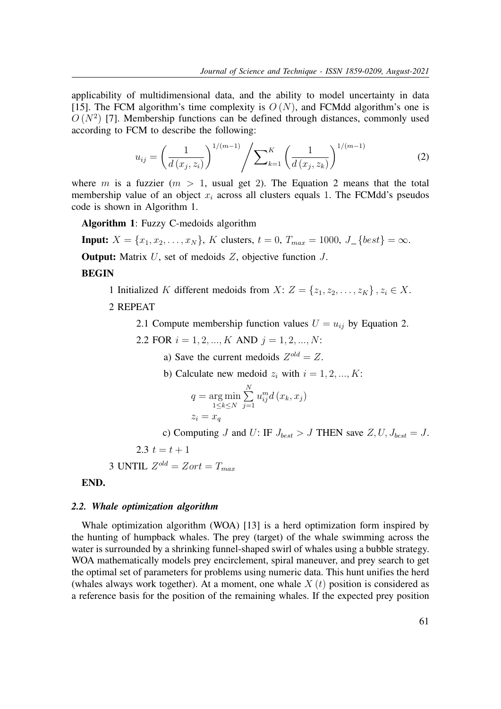applicability of multidimensional data, and the ability to model uncertainty in data [15]. The FCM algorithm's time complexity is  $O(N)$ , and FCMdd algorithm's one is  $O(N^2)$  [7]. Membership functions can be defined through distances, commonly used according to FCM to describe the following:

$$
u_{ij} = \left(\frac{1}{d\left(x_j, z_i\right)}\right)^{1/(m-1)} \left/ \sum_{k=1}^{K} \left(\frac{1}{d\left(x_j, z_k\right)}\right)^{1/(m-1)}\right)
$$
(2)

where m is a fuzzier  $(m > 1$ , usual get 2). The Equation 2 means that the total membership value of an object  $x_i$  across all clusters equals 1. The FCMdd's pseudos code is shown in Algorithm 1.

**Algorithm 1**: Fuzzy C-medoids algorithm

**Input:**  $X = \{x_1, x_2, \ldots, x_N\}$ , K clusters,  $t = 0$ ,  $T_{max} = 1000$ ,  $J_{\perp} \{best\} = \infty$ .

**Output:** Matrix U, set of medoids Z, objective function J.

## **BEGIN**

1 Initialized K different medoids from  $X: Z = \{z_1, z_2, \ldots, z_K\}$ ,  $z_i \in X$ .

## 2 REPEAT

2.1 Compute membership function values  $U = u_{ij}$  by Equation 2.

2.2 FOR  $i = 1, 2, ..., K$  AND  $j = 1, 2, ..., N$ :

a) Save the current medoids  $Z^{old} = Z$ .

b) Calculate new medoid  $z_i$  with  $i = 1, 2, ..., K$ :

$$
q = \underset{1 \le k \le N}{\arg \min} \sum_{j=1}^{N} u_{ij}^{m} d(x_{k}, x_{j})
$$

$$
z_{i} = x_{q}
$$

c) Computing J and U: IF  $J_{best} > J$  THEN save  $Z, U, J_{best} = J$ .

2.3  $t = t + 1$ 

3 UNITIL 
$$
Z^{old} = Zort = T_{max}
$$

#### **END.**

#### *2.2. Whale optimization algorithm*

Whale optimization algorithm (WOA) [13] is a herd optimization form inspired by the hunting of humpback whales. The prey (target) of the whale swimming across the water is surrounded by a shrinking funnel-shaped swirl of whales using a bubble strategy. WOA mathematically models prey encirclement, spiral maneuver, and prey search to get the optimal set of parameters for problems using numeric data. This hunt unifies the herd (whales always work together). At a moment, one whale  $X(t)$  position is considered as a reference basis for the position of the remaining whales. If the expected prey position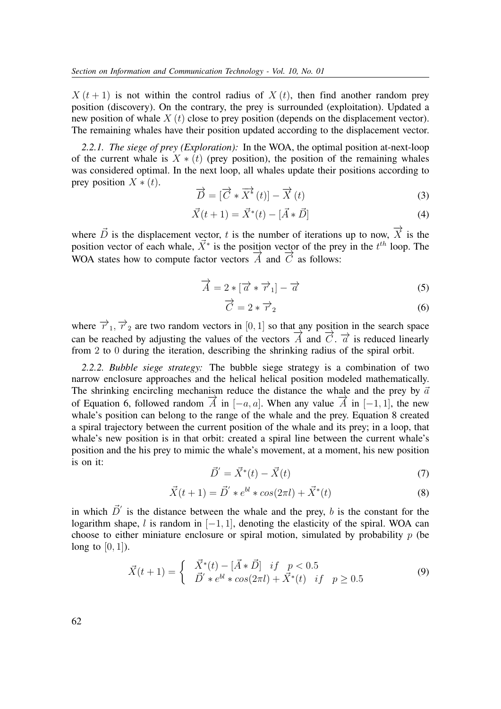$X(t+1)$  is not within the control radius of  $X(t)$ , then find another random prey position (discovery). On the contrary, the prey is surrounded (exploitation). Updated a new position of whale  $X(t)$  close to prey position (depends on the displacement vector). The remaining whales have their position updated according to the displacement vector.

*2.2.1. The siege of prey (Exploration):* In the WOA, the optimal position at-next-loop of the current whale is  $X * (t)$  (prey position), the position of the remaining whales was considered optimal. In the next loop, all whales update their positions according to prey position  $X * (t)$ .

$$
\overrightarrow{D} = [\overrightarrow{C} * \overrightarrow{X}^*(t)] - \overrightarrow{X}(t)
$$
\n(3)

$$
\vec{X}(t+1) = \vec{X}^*(t) - [\vec{A} * \vec{D}] \tag{4}
$$

where  $\vec{D}$  is the displacement vector, t is the number of iterations up to now,  $\overrightarrow{X}$  is the position vector of each whale,  $\vec{X}^*$  is the position vector of the prey in the  $t^{th}$  loop. The Position vector of each whate,  $\overline{A}$  is the position vector of the pre-WOA states how to compute factor vectors  $\overrightarrow{A}$  and  $\overrightarrow{C}$  as follows:

$$
\overrightarrow{A} = 2 * [\overrightarrow{a} * \overrightarrow{r}_1] - \overrightarrow{a}
$$
 (5)

$$
\overrightarrow{C} = 2 * \overrightarrow{r}_2 \tag{6}
$$

where  $\overrightarrow{r}_1$ ,  $\overrightarrow{r}_2$  are two random vectors in [0, 1] so that any position in the search space can be reached by adjusting the values of the vectors  $\overrightarrow{A}$  and  $\overrightarrow{C}$ .  $\overrightarrow{a}$  is reduced linearly from 2 to 0 during the iteration, describing the shrinking radius of the spiral orbit.

*2.2.2. Bubble siege strategy:* The bubble siege strategy is a combination of two narrow enclosure approaches and the helical helical position modeled mathematically. The shrinking encircling mechanism reduce the distance the whale and the prey by  $\vec{a}$ of Equation 6, followed random  $\overrightarrow{A}$  in  $[-a, a]$ . When any value  $\overrightarrow{A}$  in  $[-1, 1]$ , the new whale's position can belong to the range of the whale and the prey. Equation 8 created a spiral trajectory between the current position of the whale and its prey; in a loop, that whale's new position is in that orbit: created a spiral line between the current whale's position and the his prey to mimic the whale's movement, at a moment, his new position is on it:

$$
\vec{D}' = \vec{X}^*(t) - \vec{X}(t)
$$
\n(7)

$$
\vec{X}(t+1) = \vec{D}' * e^{bl} * \cos(2\pi l) + \vec{X}^*(t)
$$
\n(8)

in which  $\vec{D}'$  is the distance between the whale and the prey, b is the constant for the logarithm shape, l is random in  $[-1, 1]$ , denoting the elasticity of the spiral. WOA can choose to either miniature enclosure or spiral motion, simulated by probability  $p$  (be long to  $[0, 1]$ ).

$$
\vec{X}(t+1) = \begin{cases}\n\vec{X}^*(t) - [\vec{A} * \vec{D}] & if \quad p < 0.5 \\
\vec{D}' * e^{bl} * \cos(2\pi l) + \vec{X}^*(t) & if \quad p \ge 0.5\n\end{cases}
$$
\n(9)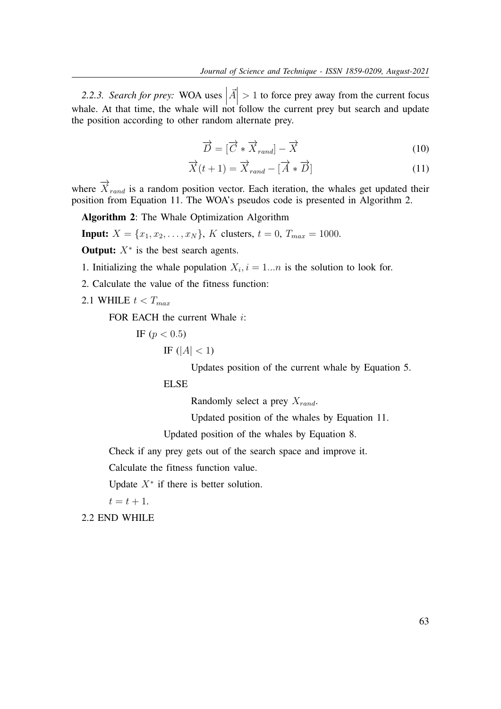*2.2.3. Search for prey:* WOA uses     $\vec{A}$ > 1 to force prey away from the current focus whale. At that time, the whale will not follow the current prey but search and update the position according to other random alternate prey.

$$
\overrightarrow{D} = [\overrightarrow{C} * \overrightarrow{X}_{rand}] - \overrightarrow{X}
$$
 (10)

$$
\overrightarrow{X}(t+1) = \overrightarrow{X}_{rand} - [\overrightarrow{A} * \overrightarrow{D}]
$$
\n(11)

where  $\overrightarrow{X}_{rand}$  is a random position vector. Each iteration, the whales get updated their position from Equation 11. The WOA's pseudos code is presented in Algorithm 2.

**Algorithm 2**: The Whale Optimization Algorithm

**Input:**  $X = \{x_1, x_2, \ldots, x_N\}$ , K clusters,  $t = 0$ ,  $T_{max} = 1000$ .

**Output:**  $X^*$  is the best search agents.

1. Initializing the whale population  $X_i$ ,  $i = 1...n$  is the solution to look for.

2. Calculate the value of the fitness function:

2.1 WHILE  $t < T_{max}$ 

FOR EACH the current Whale *i*:

IF  $(p < 0.5)$ 

IF 
$$
(|A| < 1)
$$

Updates position of the current whale by Equation 5.

ELSE

Randomly select a prey  $X_{rand}$ .

Updated position of the whales by Equation 11.

Updated position of the whales by Equation 8.

Check if any prey gets out of the search space and improve it.

Calculate the fitness function value.

Update  $X^*$  if there is better solution.

 $t = t + 1.$ 

2.2 END WHILE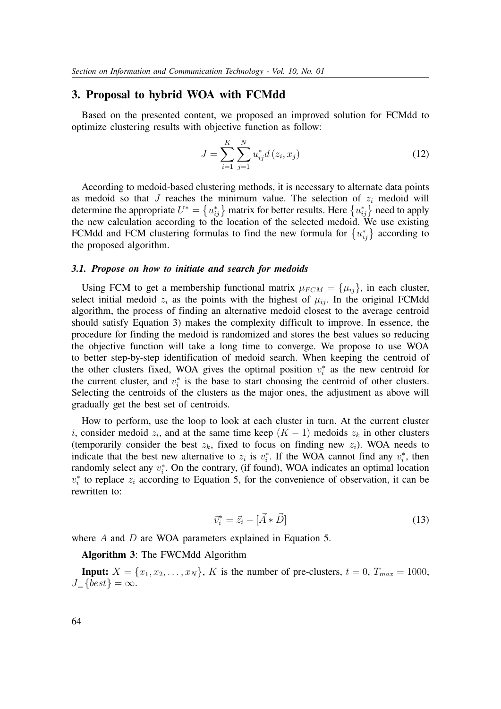## **3. Proposal to hybrid WOA with FCMdd**

Based on the presented content, we proposed an improved solution for FCMdd to optimize clustering results with objective function as follow:

$$
J = \sum_{i=1}^{K} \sum_{j=1}^{N} u_{ij}^* d(z_i, x_j)
$$
 (12)

According to medoid-based clustering methods, it is necessary to alternate data points as medoid so that J reaches the minimum value. The selection of  $z_i$  medoid will determine the appropriate  $U^* = \{u_{ij}^*\}$  matrix for better results. Here  $\{u_{ij}^*\}$  need to apply the new calculation according to the location of the selected medoid. We use existing FCMdd and FCM clustering formulas to find the new formula for  $\{u_{ij}^*\}$  according to the proposed algorithm.

#### *3.1. Propose on how to initiate and search for medoids*

Using FCM to get a membership functional matrix  $\mu_{FCM} = {\mu_{ij}}$ , in each cluster, select initial medoid  $z_i$  as the points with the highest of  $\mu_{ij}$ . In the original FCMdd algorithm, the process of finding an alternative medoid closest to the average centroid should satisfy Equation 3) makes the complexity difficult to improve. In essence, the procedure for finding the medoid is randomized and stores the best values so reducing the objective function will take a long time to converge. We propose to use WOA to better step-by-step identification of medoid search. When keeping the centroid of the other clusters fixed, WOA gives the optimal position  $v_i^*$  as the new centroid for the current cluster, and  $v_i^*$  is the base to start choosing the centroid of other clusters. Selecting the centroids of the clusters as the major ones, the adjustment as above will gradually get the best set of centroids.

How to perform, use the loop to look at each cluster in turn. At the current cluster i, consider medoid  $z_i$ , and at the same time keep  $(K-1)$  medoids  $z_k$  in other clusters (temporarily consider the best  $z_k$ , fixed to focus on finding new  $z_i$ ). WOA needs to indicate that the best new alternative to  $z_i$  is  $v_i^*$ . If the WOA cannot find any  $v_i^*$ , then randomly select any  $v_i^*$ . On the contrary, (if found), WOA indicates an optimal location  $v_i^*$  to replace  $z_i$  according to Equation 5, for the convenience of observation, it can be rewritten to:

$$
\vec{v}_i^* = \vec{z}_i - [\vec{A} * \vec{D}] \tag{13}
$$

where A and D are WOA parameters explained in Equation 5.

**Algorithm 3**: The FWCMdd Algorithm

**Input:**  $X = \{x_1, x_2, \ldots, x_N\}$ , K is the number of pre-clusters,  $t = 0$ ,  $T_{max} = 1000$ ,  $J_{-}$ {best} =  $\infty$ .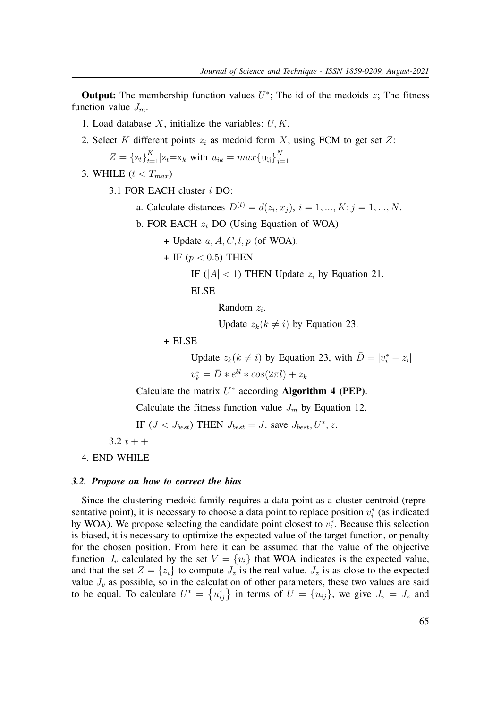**Output:** The membership function values  $U^*$ ; The id of the medoids  $z$ ; The fitness function value  $J_m$ .

- 1. Load database  $X$ , initialize the variables:  $U, K$ .
- 2. Select K different points  $z_i$  as medoid form X, using FCM to get set Z:

$$
Z = \{z_t\}_{t=1}^K | z_t = x_k \text{ with } u_{ik} = max\{u_{ij}\}_{j=1}^N
$$

3. WHILE  $(t < T_{max})$ 

3.1 FOR EACH cluster i DO:

- a. Calculate distances  $D^{(t)} = d(z_i, x_j), i = 1, ..., K; j = 1, ..., N$ .
- b. FOR EACH  $z_i$  DO (Using Equation of WOA)
	- + Update  $a, A, C, l, p$  (of WOA).
	- + IF  $(p < 0.5)$  THEN
		- IF ( $|A| < 1$ ) THEN Update  $z_i$  by Equation 21.

ELSE

Random  $z_i$ .

Update  $z_k(k \neq i)$  by Equation 23.

+ ELSE

Update  $z_k(k \neq i)$  by Equation 23, with  $\overline{D} = |v_i^* - z_i|$  $v_k^* = \bar{D} * e^{bl} * cos(2\pi l) + z_k$ 

Calculate the matrix  $U^*$  according **Algorithm 4 (PEP)**.

Calculate the fitness function value  $J_m$  by Equation 12.

IF  $(J < J_{best})$  THEN  $J_{best} = J$ . save  $J_{best}, U^*, z$ .

3.2  $t + +$ 

4. END WHILE

#### *3.2. Propose on how to correct the bias*

Since the clustering-medoid family requires a data point as a cluster centroid (representative point), it is necessary to choose a data point to replace position  $v_i^*$  (as indicated by WOA). We propose selecting the candidate point closest to  $v_i^*$ . Because this selection is biased, it is necessary to optimize the expected value of the target function, or penalty for the chosen position. From here it can be assumed that the value of the objective function  $J_v$  calculated by the set  $V = \{v_i\}$  that WOA indicates is the expected value, and that the set  $Z = \{z_i\}$  to compute  $J_z$  is the real value.  $J_z$  is as close to the expected value  $J_v$  as possible, so in the calculation of other parameters, these two values are said to be equal. To calculate  $U^* = \{u_{ij}^*\}$  in terms of  $U = \{u_{ij}\}\$ , we give  $J_v = J_z$  and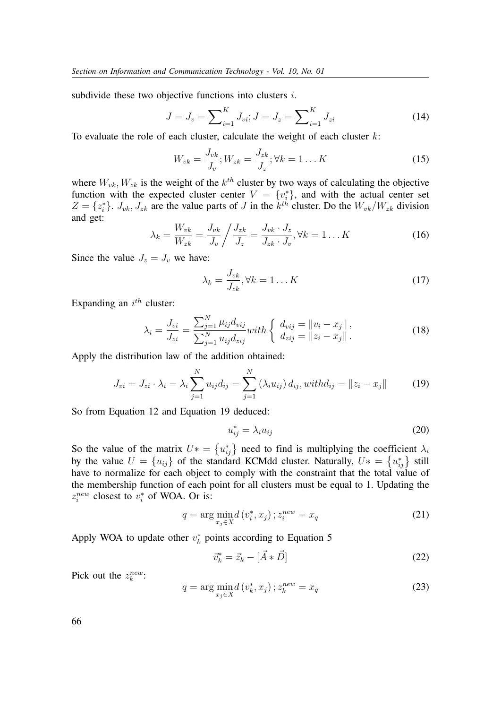subdivide these two objective functions into clusters *i*.

$$
J = J_v = \sum_{i=1}^{K} J_{vi}; J = J_z = \sum_{i=1}^{K} J_{zi}
$$
 (14)

To evaluate the role of each cluster, calculate the weight of each cluster  $k$ :

$$
W_{vk} = \frac{J_{vk}}{J_v}; W_{zk} = \frac{J_{zk}}{J_z}; \forall k = 1...K
$$
\n(15)

where  $W_{vk}, W_{zk}$  is the weight of the  $k^{th}$  cluster by two ways of calculating the objective function with the expected cluster center  $V = \{v_i^*\}$ , and with the actual center set  $Z = \{z_i^*\}\text{. } J_{vk}, J_{zk}$  are the value parts of J in the  $k^{th}$  cluster. Do the  $W_{vk}/W_{zk}$  division and get:

$$
\lambda_k = \frac{W_{vk}}{W_{zk}} = \frac{J_{vk}}{J_v} / \frac{J_{zk}}{J_z} = \frac{J_{vk} \cdot J_z}{J_{zk} \cdot J_v}, \forall k = 1...K
$$
\n(16)

Since the value  $J_z = J_v$  we have:

$$
\lambda_k = \frac{J_{vk}}{J_{zk}}, \forall k = 1...K
$$
 (17)

Expanding an  $i^{th}$  cluster:

$$
\lambda_i = \frac{J_{vi}}{J_{zi}} = \frac{\sum_{j=1}^{N} \mu_{ij} d_{vij}}{\sum_{j=1}^{N} u_{ij} d_{zij}} with \begin{cases} d_{vij} = ||v_i - x_j||, \\ d_{zij} = ||z_i - x_j||. \end{cases}
$$
(18)

Apply the distribution law of the addition obtained:

$$
J_{vi} = J_{zi} \cdot \lambda_i = \lambda_i \sum_{j=1}^{N} u_{ij} d_{ij} = \sum_{j=1}^{N} (\lambda_i u_{ij}) d_{ij}, with d_{ij} = ||z_i - x_j|| \tag{19}
$$

So from Equation 12 and Equation 19 deduced:

$$
u_{ij}^* = \lambda_i u_{ij} \tag{20}
$$

So the value of the matrix  $U^* = \{u_{ij}^*\}$  need to find is multiplying the coefficient  $\lambda_i$ by the value  $U = \{u_{ij}\}\$  of the standard KCMdd cluster. Naturally,  $U^* = \{u_{ij}^*\}$  still have to normalize for each object to comply with the constraint that the total value of the membership function of each point for all clusters must be equal to 1. Updating the  $z_i^{new}$  closest to  $v_i^*$  of WOA. Or is:

$$
q = \arg\min_{x_j \in X} d\left(v_i^*, x_j\right); z_i^{new} = x_q \tag{21}
$$

Apply WOA to update other  $v_k^*$  points according to Equation 5

$$
\vec{v}_k^* = \vec{z}_k - [\vec{A} * \vec{D}] \tag{22}
$$

Pick out the  $z_k^{new}$ :

$$
q = \arg\min_{x_j \in X} d\left(v_k^*, x_j\right); z_k^{new} = x_q \tag{23}
$$

66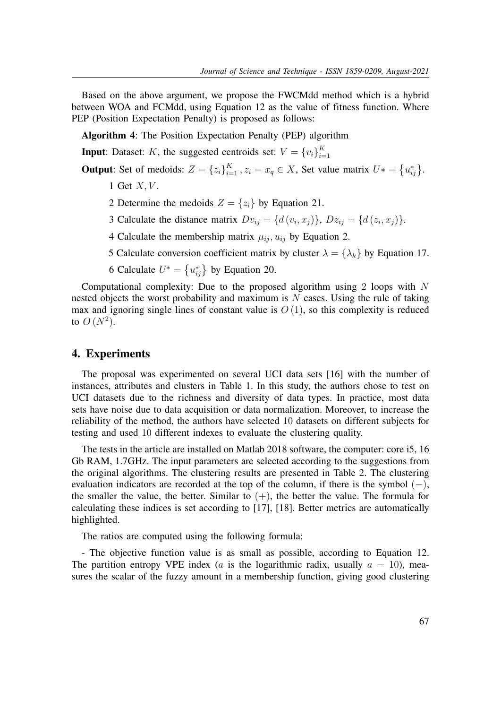Based on the above argument, we propose the FWCMdd method which is a hybrid between WOA and FCMdd, using Equation 12 as the value of fitness function. Where PEP (Position Expectation Penalty) is proposed as follows:

**Algorithm 4**: The Position Expectation Penalty (PEP) algorithm

**Input**: Dataset: K, the suggested centroids set:  $V = \{v_i\}_{i=1}^K$  $i=1$ 

**Output**: Set of medoids:  $Z = \{z_i\}_{i=1}^K$ ,  $z_i = x_q \in X$ , Set value matrix  $U^* = \{u_{ij}^*\}.$ 

- 1 Get  $X, V$ .
- 2 Determine the medoids  $Z = \{z_i\}$  by Equation 21.
- 3 Calculate the distance matrix  $Dv_{ij} = \{d(v_i, x_j)\}, Dz_{ij} = \{d(z_i, x_j)\}.$
- 4 Calculate the membership matrix  $\mu_{ij}$ ,  $u_{ij}$  by Equation 2.
- 5 Calculate conversion coefficient matrix by cluster  $\lambda = {\lambda_k}$  by Equation 17.

6 Calculate  $U^* = \{u_{ij}^*\}$  by Equation 20.

Computational complexity: Due to the proposed algorithm using 2 loops with N nested objects the worst probability and maximum is  $N$  cases. Using the rule of taking max and ignoring single lines of constant value is  $O(1)$ , so this complexity is reduced to  $O(N^2)$ .

## **4. Experiments**

The proposal was experimented on several UCI data sets [16] with the number of instances, attributes and clusters in Table 1. In this study, the authors chose to test on UCI datasets due to the richness and diversity of data types. In practice, most data sets have noise due to data acquisition or data normalization. Moreover, to increase the reliability of the method, the authors have selected 10 datasets on different subjects for testing and used 10 different indexes to evaluate the clustering quality.

The tests in the article are installed on Matlab 2018 software, the computer: core i5, 16 Gb RAM, 1.7GHz. The input parameters are selected according to the suggestions from the original algorithms. The clustering results are presented in Table 2. The clustering evaluation indicators are recorded at the top of the column, if there is the symbol  $(-)$ , the smaller the value, the better. Similar to  $(+)$ , the better the value. The formula for calculating these indices is set according to [17], [18]. Better metrics are automatically highlighted.

The ratios are computed using the following formula:

- The objective function value is as small as possible, according to Equation 12. The partition entropy VPE index (*a* is the logarithmic radix, usually  $a = 10$ ), measures the scalar of the fuzzy amount in a membership function, giving good clustering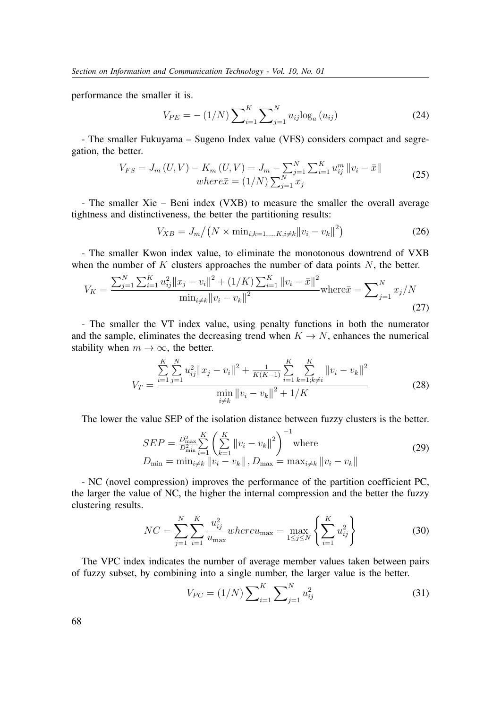performance the smaller it is.

$$
V_{PE} = -(1/N) \sum_{i=1}^{K} \sum_{j=1}^{N} u_{ij} \log_a(u_{ij})
$$
 (24)

- The smaller Fukuyama – Sugeno Index value (VFS) considers compact and segregation, the better.

$$
V_{FS} = J_m(U, V) - K_m(U, V) = J_m - \sum_{j=1}^{N} \sum_{i=1}^{K} u_{ij}^m ||v_i - \bar{x}||
$$
  
where  $\bar{x} = (1/N) \sum_{j=1}^{N} x_j$  (25)

- The smaller Xie – Beni index (VXB) to measure the smaller the overall average tightness and distinctiveness, the better the partitioning results:

$$
V_{XB} = J_m / (N \times \min_{i,k=1,\dots,K,i \neq k} ||v_i - v_k||^2)
$$
 (26)

- The smaller Kwon index value, to eliminate the monotonous downtrend of VXB when the number of  $K$  clusters approaches the number of data points  $N$ , the better.

$$
V_K = \frac{\sum_{j=1}^{N} \sum_{i=1}^{K} u_{ij}^2 \|x_j - v_i\|^2 + (1/K) \sum_{i=1}^{K} \|v_i - \bar{x}\|^2}{\min_{i \neq k} \|v_i - v_k\|^2} \text{where } \bar{x} = \sum_{j=1}^{N} x_j / N
$$
\n(27)

- The smaller the VT index value, using penalty functions in both the numerator and the sample, eliminates the decreasing trend when  $K \to N$ , enhances the numerical stability when  $m \to \infty$ , the better.

$$
V_T = \frac{\sum_{i=1}^{K} \sum_{j=1}^{N} u_{ij}^2 ||x_j - v_i||^2 + \frac{1}{K(K-1)} \sum_{i=1}^{K} \sum_{k=1, k \neq i}^{K} ||v_i - v_k||^2}{\min_{i \neq k} ||v_i - v_k||^2 + 1/K}
$$
(28)

The lower the value SEP of the isolation distance between fuzzy clusters is the better.

$$
SEP = \frac{D_{\max}^{2}}{D_{\min}^{2}} \sum_{i=1}^{K} \left( \sum_{k=1}^{K} ||v_i - v_k||^{2} \right)^{-1} \text{where}
$$
  

$$
D_{\min} = \min_{i \neq k} ||v_i - v_k||, D_{\max} = \max_{i \neq k} ||v_i - v_k||
$$
 (29)

- NC (novel compression) improves the performance of the partition coefficient PC, the larger the value of NC, the higher the internal compression and the better the fuzzy clustering results.

$$
NC = \sum_{j=1}^{N} \sum_{i=1}^{K} \frac{u_{ij}^2}{u_{\text{max}}} where u_{\text{max}} = \max_{1 \le j \le N} \left\{ \sum_{i=1}^{K} u_{ij}^2 \right\}
$$
(30)

The VPC index indicates the number of average member values taken between pairs of fuzzy subset, by combining into a single number, the larger value is the better.

$$
V_{PC} = (1/N) \sum_{i=1}^{K} \sum_{j=1}^{N} u_{ij}^2
$$
 (31)

68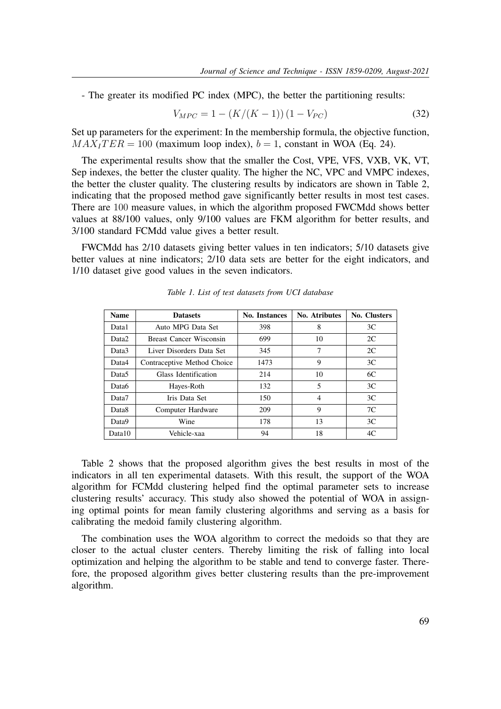- The greater its modified PC index (MPC), the better the partitioning results:

$$
V_{MPC} = 1 - (K/(K-1))(1 - V_{PC})
$$
\n(32)

Set up parameters for the experiment: In the membership formula, the objective function,  $MAX<sub>I</sub>TER = 100$  (maximum loop index),  $b = 1$ , constant in WOA (Eq. 24).

The experimental results show that the smaller the Cost, VPE, VFS, VXB, VK, VT, Sep indexes, the better the cluster quality. The higher the NC, VPC and VMPC indexes, the better the cluster quality. The clustering results by indicators are shown in Table 2, indicating that the proposed method gave significantly better results in most test cases. There are 100 measure values, in which the algorithm proposed FWCMdd shows better values at 88/100 values, only 9/100 values are FKM algorithm for better results, and 3/100 standard FCMdd value gives a better result.

FWCMdd has 2/10 datasets giving better values in ten indicators; 5/10 datasets give better values at nine indicators; 2/10 data sets are better for the eight indicators, and 1/10 dataset give good values in the seven indicators.

| <b>Name</b>       | <b>Datasets</b>             | No. Instances | No. Atributes | <b>No. Clusters</b> |  |
|-------------------|-----------------------------|---------------|---------------|---------------------|--|
| Data1             | Auto MPG Data Set           | 398           | 8             | 3C                  |  |
| Data <sub>2</sub> | Breast Cancer Wisconsin     | 699           | 10            | 2C                  |  |
| Data3             | Liver Disorders Data Set    | 345           | 7             | 2C                  |  |
| Data4             | Contraceptive Method Choice | 1473          | 9             | 3C                  |  |
| Data <sub>5</sub> | Glass Identification        | 214           | 10            | 6C                  |  |
| Data6             | Hayes-Roth                  | 132           | 5             | 3 <sup>C</sup>      |  |
| Data7             | Iris Data Set               | 150           | 4             | 3C                  |  |
| Data <sub>8</sub> | Computer Hardware           | 209           | 9             | 7C                  |  |
| Data9             | Wine                        | 178           | 13            | 3 <sup>C</sup>      |  |
| Data10            | Vehicle-xaa                 | 94            | 18            | 4C                  |  |

*Table 1. List of test datasets from UCI database*

Table 2 shows that the proposed algorithm gives the best results in most of the indicators in all ten experimental datasets. With this result, the support of the WOA algorithm for FCMdd clustering helped find the optimal parameter sets to increase clustering results' accuracy. This study also showed the potential of WOA in assigning optimal points for mean family clustering algorithms and serving as a basis for calibrating the medoid family clustering algorithm.

The combination uses the WOA algorithm to correct the medoids so that they are closer to the actual cluster centers. Thereby limiting the risk of falling into local optimization and helping the algorithm to be stable and tend to converge faster. Therefore, the proposed algorithm gives better clustering results than the pre-improvement algorithm.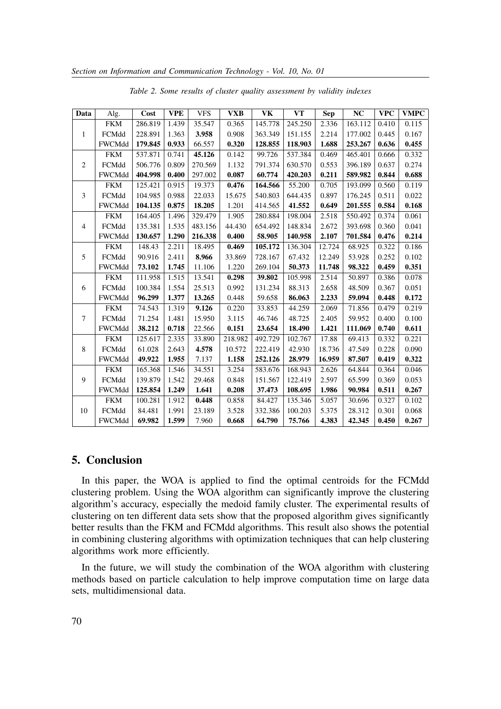| Data           | Alg.          | Cost    | <b>VPE</b> | <b>VFS</b> | <b>VXB</b> | VK      | VT      | Sep    | <b>NC</b> | <b>VPC</b> | <b>VMPC</b> |
|----------------|---------------|---------|------------|------------|------------|---------|---------|--------|-----------|------------|-------------|
| 1              | <b>FKM</b>    | 286.819 | 1.439      | 35.547     | 0.365      | 145.778 | 245.250 | 2.336  | 163.112   | 0.410      | 0.115       |
|                | FCMdd         | 228.891 | 1.363      | 3.958      | 0.908      | 363.349 | 151.155 | 2.214  | 177.002   | 0.445      | 0.167       |
|                | <b>FWCMdd</b> | 179.845 | 0.933      | 66.557     | 0.320      | 128.855 | 118.903 | 1.688  | 253.267   | 0.636      | 0.455       |
| 2              | <b>FKM</b>    | 537.871 | 0.741      | 45.126     | 0.142      | 99.726  | 537.384 | 0.469  | 465.401   | 0.666      | 0.332       |
|                | FCMdd         | 506.776 | 0.809      | 270.569    | 1.132      | 791.374 | 630.570 | 0.553  | 396.189   | 0.637      | 0.274       |
|                | <b>FWCMdd</b> | 404.998 | 0.400      | 297.002    | 0.087      | 60.774  | 420.203 | 0.211  | 589.982   | 0.844      | 0.688       |
| 3              | <b>FKM</b>    | 125.421 | 0.915      | 19.373     | 0.476      | 164.566 | 55.200  | 0.705  | 193.099   | 0.560      | 0.119       |
|                | FCMdd         | 104.985 | 0.988      | 22.033     | 15.675     | 540.803 | 644.435 | 0.897  | 176.245   | 0.511      | 0.022       |
|                | <b>FWCMdd</b> | 104.135 | 0.875      | 18.205     | 1.201      | 414.565 | 41.552  | 0.649  | 201.555   | 0.584      | 0.168       |
| $\overline{4}$ | <b>FKM</b>    | 164.405 | 1.496      | 329.479    | 1.905      | 280.884 | 198.004 | 2.518  | 550.492   | 0.374      | 0.061       |
|                | FCMdd         | 135.381 | 1.535      | 483.156    | 44.430     | 654.492 | 148.834 | 2.672  | 393.698   | 0.360      | 0.041       |
|                | <b>FWCMdd</b> | 130.657 | 1.290      | 216.338    | 0.400      | 58.905  | 140.958 | 2.107  | 701.584   | 0.476      | 0.214       |
| 5              | <b>FKM</b>    | 148.43  | 2.211      | 18.495     | 0.469      | 105.172 | 136.304 | 12.724 | 68.925    | 0.322      | 0.186       |
|                | FCMdd         | 90.916  | 2.411      | 8.966      | 33.869     | 728.167 | 67.432  | 12.249 | 53.928    | 0.252      | 0.102       |
|                | <b>FWCMdd</b> | 73.102  | 1.745      | 11.106     | 1.220      | 269.104 | 50.373  | 11.748 | 98.322    | 0.459      | 0.351       |
| 6              | <b>FKM</b>    | 111.958 | 1.515      | 13.541     | 0.298      | 39.802  | 105.998 | 2.514  | 50.897    | 0.386      | 0.078       |
|                | FCMdd         | 100.384 | 1.554      | 25.513     | 0.992      | 131.234 | 88.313  | 2.658  | 48.509    | 0.367      | 0.051       |
|                | <b>FWCMdd</b> | 96.299  | 1.377      | 13.265     | 0.448      | 59.658  | 86.063  | 2.233  | 59.094    | 0.448      | 0.172       |
| 7              | <b>FKM</b>    | 74.543  | 1.319      | 9.126      | 0.220      | 33.853  | 44.259  | 2.069  | 71.856    | 0.479      | 0.219       |
|                | FCMdd         | 71.254  | 1.481      | 15.950     | 3.115      | 46.746  | 48.725  | 2.405  | 59.952    | 0.400      | 0.100       |
|                | <b>FWCMdd</b> | 38.212  | 0.718      | 22.566     | 0.151      | 23.654  | 18.490  | 1.421  | 111.069   | 0.740      | 0.611       |
| 8              | <b>FKM</b>    | 125.617 | 2.335      | 33.890     | 218.982    | 492.729 | 102.767 | 17.88  | 69.413    | 0.332      | 0.221       |
|                | FCMdd         | 61.028  | 2.643      | 4.578      | 10.572     | 222.419 | 42.930  | 18.736 | 47.549    | 0.228      | 0.090       |
|                | <b>FWCMdd</b> | 49.922  | 1.955      | 7.137      | 1.158      | 252.126 | 28.979  | 16.959 | 87.507    | 0.419      | 0.322       |
| 9              | <b>FKM</b>    | 165.368 | 1.546      | 34.551     | 3.254      | 583.676 | 168.943 | 2.626  | 64.844    | 0.364      | 0.046       |
|                | FCMdd         | 139.879 | 1.542      | 29.468     | 0.848      | 151.567 | 122.419 | 2.597  | 65.599    | 0.369      | 0.053       |
|                | <b>FWCMdd</b> | 125.854 | 1.249      | 1.641      | 0.208      | 37.473  | 108.695 | 1.986  | 90.984    | 0.511      | 0.267       |
| 10             | <b>FKM</b>    | 100.281 | 1.912      | 0.448      | 0.858      | 84.427  | 135.346 | 5.057  | 30.696    | 0.327      | 0.102       |
|                | FCMdd         | 84.481  | 1.991      | 23.189     | 3.528      | 332.386 | 100.203 | 5.375  | 28.312    | 0.301      | 0.068       |
|                | <b>FWCMdd</b> | 69.982  | 1.599      | 7.960      | 0.668      | 64.790  | 75.766  | 4.383  | 42.345    | 0.450      | 0.267       |

*Table 2. Some results of cluster quality assessment by validity indexes*

## **5. Conclusion**

In this paper, the WOA is applied to find the optimal centroids for the FCMdd clustering problem. Using the WOA algorithm can significantly improve the clustering algorithm's accuracy, especially the medoid family cluster. The experimental results of clustering on ten different data sets show that the proposed algorithm gives significantly better results than the FKM and FCMdd algorithms. This result also shows the potential in combining clustering algorithms with optimization techniques that can help clustering algorithms work more efficiently.

In the future, we will study the combination of the WOA algorithm with clustering methods based on particle calculation to help improve computation time on large data sets, multidimensional data.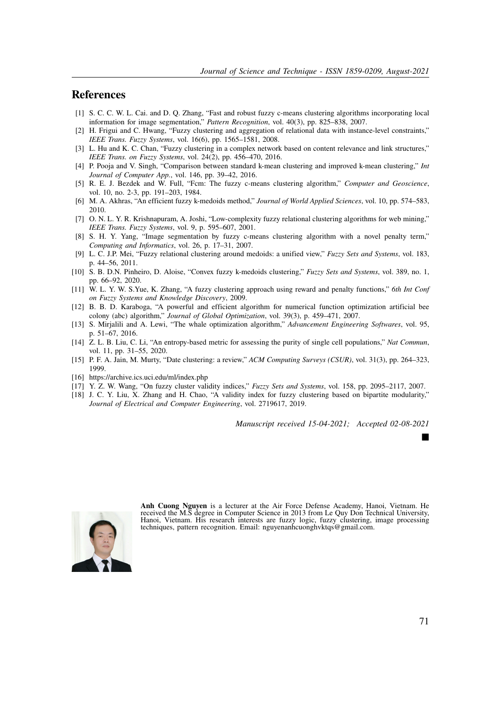#### **References**

- [1] S. C. C. W. L. Cai. and D. Q. Zhang, "Fast and robust fuzzy c-means clustering algorithms incorporating local information for image segmentation," *Pattern Recognition*, vol. 40(3), pp. 825–838, 2007.
- [2] H. Frigui and C. Hwang, "Fuzzy clustering and aggregation of relational data with instance-level constraints," *IEEE Trans. Fuzzy Systems*, vol. 16(6), pp. 1565–1581, 2008.
- [3] L. Hu and K. C. Chan, "Fuzzy clustering in a complex network based on content relevance and link structures," *IEEE Trans. on Fuzzy Systems*, vol. 24(2), pp. 456–470, 2016.
- [4] P. Pooja and V. Singh, "Comparison between standard k-mean clustering and improved k-mean clustering," *Int Journal of Computer App.*, vol. 146, pp. 39–42, 2016.
- [5] R. E. J. Bezdek and W. Full, "Fcm: The fuzzy c-means clustering algorithm," *Computer and Geoscience*, vol. 10, no. 2-3, pp. 191–203, 1984.
- [6] M. A. Akhras, "An efficient fuzzy k-medoids method," *Journal of World Applied Sciences*, vol. 10, pp. 574–583, 2010.
- [7] O. N. L. Y. R. Krishnapuram, A. Joshi, "Low-complexity fuzzy relational clustering algorithms for web mining," *IEEE Trans. Fuzzy Systems*, vol. 9, p. 595–607, 2001.
- [8] S. H. Y. Yang, "Image segmentation by fuzzy c-means clustering algorithm with a novel penalty term," *Computing and Informatics*, vol. 26, p. 17–31, 2007.
- [9] L. C. J.P. Mei, "Fuzzy relational clustering around medoids: a unified view," *Fuzzy Sets and Systems*, vol. 183, p. 44–56, 2011.
- [10] S. B. D.N. Pinheiro, D. Aloise, "Convex fuzzy k-medoids clustering," *Fuzzy Sets and Systems*, vol. 389, no. 1, pp. 66–92, 2020.
- [11] W. L. Y. W. S.Yue, K. Zhang, "A fuzzy clustering approach using reward and penalty functions," *6th Int Conf on Fuzzy Systems and Knowledge Discovery*, 2009.
- [12] B. B. D. Karaboga, "A powerful and efficient algorithm for numerical function optimization artificial bee colony (abc) algorithm," *Journal of Global Optimization*, vol. 39(3), p. 459–471, 2007.
- [13] S. Mirjalili and A. Lewi, "The whale optimization algorithm," *Advancement Engineering Softwares*, vol. 95, p. 51–67, 2016.
- [14] Z. L. B. Liu, C. Li, "An entropy-based metric for assessing the purity of single cell populations," *Nat Commun*, vol. 11, pp. 31–55, 2020.
- [15] P. F. A. Jain, M. Murty, "Date clustering: a review," *ACM Computing Surveys (CSUR)*, vol. 31(3), pp. 264–323, 1999.
- [16] https://archive.ics.uci.edu/ml/index.php
- [17] Y. Z. W. Wang, "On fuzzy cluster validity indices," *Fuzzy Sets and Systems*, vol. 158, pp. 2095–2117, 2007.
- [18] J. C. Y. Liu, X. Zhang and H. Chao, "A validity index for fuzzy clustering based on bipartite modularity," *Journal of Electrical and Computer Engineering*, vol. 2719617, 2019.

*Manuscript received 15-04-2021; Accepted 02-08-2021*



**Anh Cuong Nguyen** is a lecturer at the Air Force Defense Academy, Hanoi, Vietnam. He received the M.S degree in Computer Science in 2013 from Le Quy Don Technical University, Hanoi, Vietnam. His research interests are fuzzy logic, fuzzy clustering, image processing techniques, pattern recognition. Email: nguyenanhcuonghvktqs@gmail.com.

 $\blacksquare$